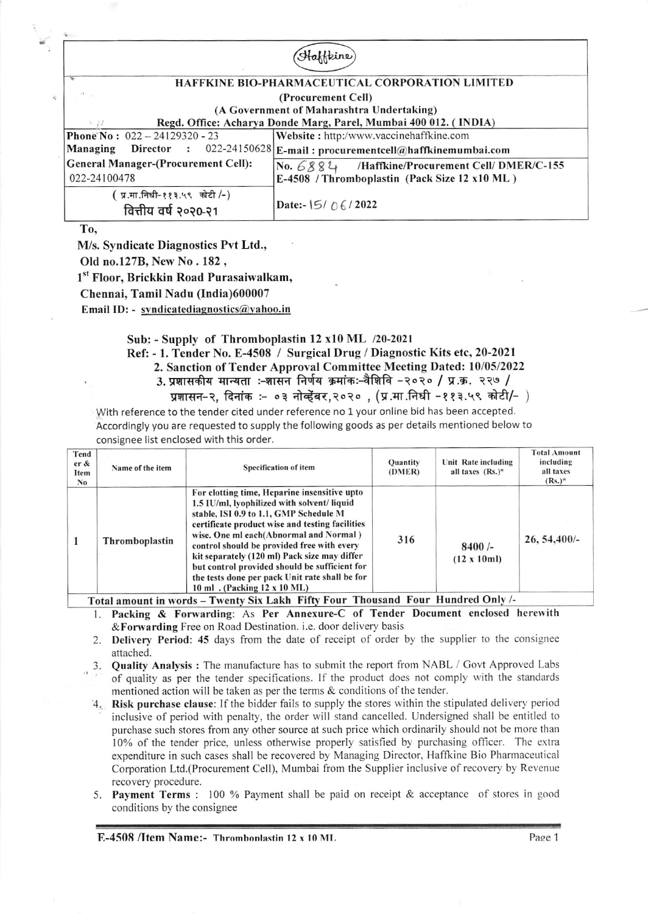## Haffkine HAFFKINE BIO-PHARMACEUTICAL CORPORATION LIMITED (Procurement Cell) (A Goyernment of Maharashtra Undertaking) Regd. Office: Acharya Donde Marg, Parel, Mumbai 400 012. (INDIA) **Phone No :**  $022 - 24129320 - 23$ <br>**Managing Director** :  $022$ Website: http:/www.vaccinehaffkine.com Managing Director : 022-24150628 E-mail : procurementcell@haffkinemumbai.con General Manager-(Procurement Cell): No. 6884 /Haffkine/Procurement Cell/ DMER/C-155

022-24100478  $($  प्र.मा.निधी-११३.५९ कोटी /-) वित्तीय वर्ष २०२०-२१

Date:-  $15/06/2022$ 

E-4508 /Thromboplastin (Pack Size l2 xl0 ML)

To.

M/s. Syndicate Diagnostics Pvt Ltd.,

Old no.127B, New No. 182,

1<sup>st</sup> Floor, Brickkin Road Purasaiwalkam,

Chennai, Tamil Nadu (India)600007

Email ID: - syndicatediagnostics@yahoo.in

## Sub: - Supply of Thromboplastin 12 x10 ML /20-2021

Ref: - 1. Tender No. E-4508 / Surgical Drug / Diagnostic Kits etc, 20-2021

2. Sanction of Tender Approval Committee Meeting Dated: l0/05/2022

3. प्रशासकीय मान्यता :-शासन निर्णय क्रमांकः-वैशिवि -२०२० / प्र.क. २२७ /

प्रशासन-२, दिनांक :- ०३ नोव्हेंबर,२०२० , (प्र.मा.निधी -११३.५९ कोटी/- )

With reference to the tender cited under reference no 1 your online bid has been accepted. Accordingly you are requested to supply the following goods as per details mentioned below to consignee list enclosed with this order.

| Tend<br>er &<br>Item<br>No | Name of the item | <b>Specification of item</b>                                                                                                                                                                                                                                                                                                                                                                                                                                      | Ouantity<br>(DMER) | Unit Rate including<br>all taxes $(Rs.)^*$ | <b>Total Amount</b><br>including<br>all taxes<br>$(Rs.)^*$ |
|----------------------------|------------------|-------------------------------------------------------------------------------------------------------------------------------------------------------------------------------------------------------------------------------------------------------------------------------------------------------------------------------------------------------------------------------------------------------------------------------------------------------------------|--------------------|--------------------------------------------|------------------------------------------------------------|
|                            | Thromboplastin   | For clotting time, Heparine insensitive upto<br>1.5 IU/ml, lyophilized with solvent/liquid<br>stable, ISI 0.9 to 1.1, GMP Schedule M<br>certificate product wise and testing facilities<br>wise. One ml each(Abnormal and Normal)<br>control should be provided free with every<br>kit separately (120 ml) Pack size may differ<br>but control provided should be sufficient for<br>the tests done per pack Unit rate shall be for<br>10 ml. (Packing 12 x 10 ML) | 316                | $8400/-$<br>$(12 \times 10m)$              | 26, 54, 400/                                               |

Total amount in words - Twenty Six Lakh Fifty Four Thousand Four Hundred Only /-

- l. Packing & Forwarding: As Per Annexure-C of Tender Document enclosed herenith &Forwarding Free on Road Destination. i.e. door delivery basis
- 2. Delivery Period: 45 days from the date of receipt of order by the supplier to the consignee attached.
- 3. Quality Analysis : The manufacture has to submit the report from NABL / Govt Approved Labs of quality as per the tender specifications. If the product does not comply with the standards mentioned action will be taken as per the terms  $\&$  conditions of the tender.
- 4. Risk purchase clause: If the bidder fails to supply the stores within the stipulated delivery period inclusive of period with penalty, the order will stand cancelled. Undersigned shall be entitled to purchase such stores from any other source at such price which ordinarily should not be more than l0% of the tender price, unless otherwise properly satisfied by purchasing officer. The extra expenditure in such cases shall be recovered by Managing Director, Haffkine Bio Pharmaceutical Corporation Ltd.(Procurement Cell), Mumbai from the Supplier inclusive of recovery by Revenue recovery procedure.
- 5. Payment Terms : 100 % Payment shall be paid on receipt & acceptance of stores in good conditions by the consignee

 $E-4508$  /Item Name:- Thrombonlastin 12 x 10 ML